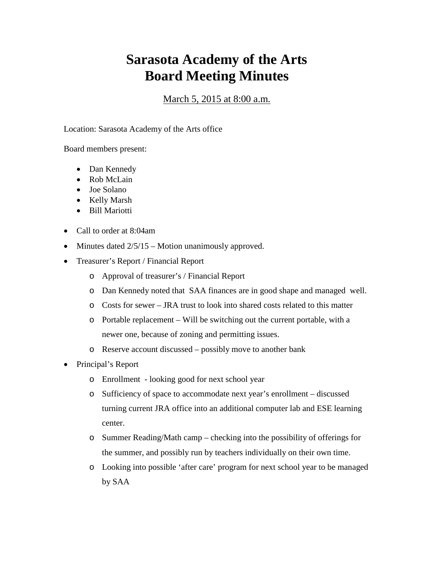## **Sarasota Academy of the Arts Board Meeting Minutes**

March 5, 2015 at 8:00 a.m.

Location: Sarasota Academy of the Arts office

Board members present:

- Dan Kennedy
- Rob McLain
- Joe Solano
- Kelly Marsh
- Bill Mariotti
- Call to order at 8:04am
- Minutes dated  $2/5/15$  Motion unanimously approved.
- Treasurer's Report / Financial Report
	- o Approval of treasurer's / Financial Report
	- o Dan Kennedy noted that SAA finances are in good shape and managed well.
	- o Costs for sewer JRA trust to look into shared costs related to this matter
	- o Portable replacement Will be switching out the current portable, with a newer one, because of zoning and permitting issues.
	- o Reserve account discussed possibly move to another bank
- Principal's Report
	- o Enrollment looking good for next school year
	- o Sufficiency of space to accommodate next year's enrollment discussed turning current JRA office into an additional computer lab and ESE learning center.
	- o Summer Reading/Math camp checking into the possibility of offerings for the summer, and possibly run by teachers individually on their own time.
	- o Looking into possible 'after care' program for next school year to be managed by SAA